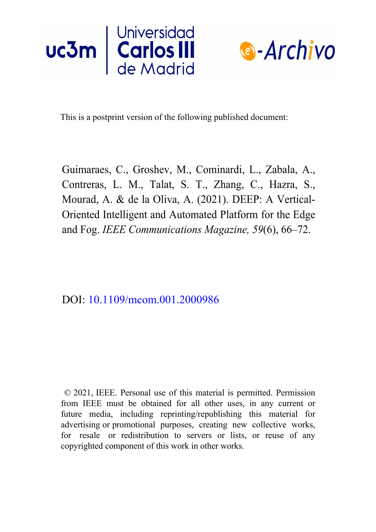



This is a postprint version of the following published document:

Guimaraes, C., Groshev, M., Cominardi, L., Zabala, A., Contreras, L. M., Talat, S. T., Zhang, C., Hazra, S., Mourad, A. & de la Oliva, A. (2021). DEEP: A Vertical-Oriented Intelligent and Automated Platform for the Edge and Fog. *IEEE Communications Magazine, 59*(6), 66–72.

DOI: [10.1109/mcom.001.2000986](https://doi.org/10.1109/mcom.001.2000986)

© 2021, IEEE. Personal use of this material is permitted. Permission from IEEE must be obtained for all other uses, in any current or future media, including reprinting/republishing this material for advertising or promotional purposes, creating new collective works, for resale or redistribution to servers or lists, or reuse of any copyrighted component of this work in other works.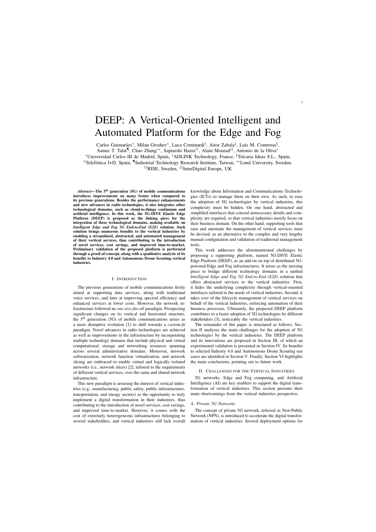# DEEP: A Vertical-Oriented Intelligent and Automated Platform for the Edge and Fog

Carlos Guimarães\*, Milan Groshev\*, Luca Cominardi<sup>†</sup>, Aitor Zabala<sup>‡</sup>, Luis M. Contreras<sup>§</sup>,

Samer T. Talat¶ , Chao Zhang∗∗, Saptarshi Hazra††, Alain Mourad‡‡, Antonio de la Oliva<sup>∗</sup>

<sup>∗</sup>Universidad Carlos III de Madrid, Spain, †ADLINK Technology, France, ‡Telcaria Ideas S.L., Spain,

§Telefónica I+D, Spain, <sup>¶</sup>Industrial Technology Research Institute, Taiwan, \*\*Lund University, Sweden,

††RISE, Sweden, ‡‡InterDigital Europe, UK

Abstract—The 5<sup>th</sup> generation (5G) of mobile communications introduces improvements on many fronts when compared to its previous generations. Besides the performance enhancements and new advances in radio technologies, it also integrates other technological domains, such as cloud-to-things continuum and artificial intelligence. In this work, the 5G-DIVE Elastic Edge Platform (DEEP) is proposed as the linking piece for the integration of these technological domains, making available an *Intelligent Edge and Fog 5G End-to-End (E2E)* solution. Such solution brings numerous benefits to the vertical industries by enabling a streamlined, abstracted, and automated management of their vertical services, thus contributing to the introduction of novel services, cost savings, and improved time-to-market. Preliminary validation of the proposed platform is performed through a proof-of-concept, along with a qualitative analysis of its benefits to Industry 4.0 and Autonomous Drone Scouting vertical industries.

## I. INTRODUCTION

The previous generations of mobile communications firstly aimed at supporting data services, along with traditional voice services, and later at improving spectral efficiency and enhanced services at lower costs. However, the network infrastructure followed an *one-size-fits-all* paradigm. Prospecting significant changes on its vertical and horizontal structure, the  $5<sup>th</sup>$  generation (5G) of mobile communications arises as a more disruptive evolution [1] to shift towards a *custom-fit* paradigm. Novel advances in radio technologies are achieved as well as improvements in the infrastructure by incorporating multiple technology domains that include physical and virtual computational, storage and networking resources spanning across several administrative domains. Moreover, network softwarization, network function virtualization, and network slicing are embraced to enable virtual and logically isolated networks (i.e., network slices) [2], tailored to the requirements of different vertical services, over the same and shared network infrastructure.

This new paradigm is arousing the interest of vertical industries (e.g., manufacturing, public safety, public infrastructures, transportation, and energy sectors) as the opportunity to truly implement a digital transformation in their industries, thus contributing to the introduction of novel services, cost savings, and improved time-to-market. However, it comes with the cost of extremely heterogeneous infrastructures belonging to several stakeholders, and vertical industries still lack overall knowledge about Information and Communications Technologies (ICTs) to manage them on their own. As such, to ease the adoption of 5G technologies by vertical industries, this complexity must be hidden. On one hand, abstracted and simplified interfaces that conceal unnecessary details and complexity are required, so that vertical industries mostly focus on their business domain. On the other hand, supporting tools that ease and automate the management of vertical services must be devised, as an alternative to the complex and very lengthy manual configuration and validation of traditional management tools.

This work addresses the aforementioned challenges by proposing a supporting platform, named 5G-DIVE Elastic Edge Platform (DEEP), as an add-on on top of distributed 5Gpowered Edge and Fog infrastructures. It arises as the missing piece to bridge different technology domains in a unified *Intelligent Edge and Fog 5G End-to-End (E2E)* solution that offers abstracted services to the vertical industries. First, it hides the underlying complexity through vertical-oriented interfaces tailored to the needs of vertical industries. Second, it takes over of the lifecycle management of vertical services on behalf of the vertical industries, enforcing automation of their business processes. Ultimately, the proposed DEEP platform contributes to a faster adoption of 5G technologies by different stakeholders [3], noticeably the vertical industries.

The remainder of this paper is structured as follows. Section II analyzes the main challenges for the adoption of 5G technologies by the vertical industries. The DEEP platform and its innovations are proposed in Section III, of which an experimental validation is presented in Section IV. Its benefits to selected Industry 4.0 and Autonomous Drone Scouting use cases are identified in Section V. Finally, Section VI highlights the main conclusions, pointing out to future work.

#### II. CHALLENGES FOR THE VERTICAL INDUSTRIES

5G networks, Edge and Fog computing, and Artificial Intelligence (AI) are key enablers to support the digital transformation of vertical industries. This section presents their main shortcomings from the vertical industries perspective.

# *A. Private 5G Networks*

The concept of private 5G network, referred as Non-Public Network (NPN), is introduced to accelerate the digital transformation of vertical industries. Several deployment options for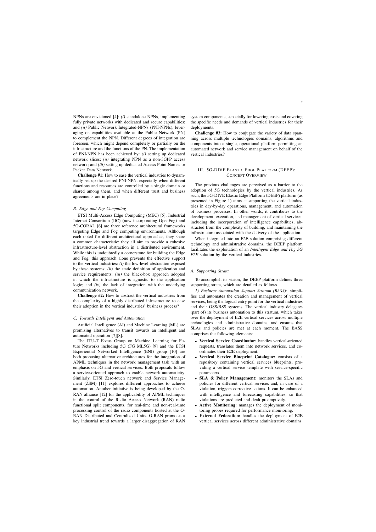NPNs are envisioned [4]: *(i)* standalone NPNs, implementing fully private networks with dedicated and secure capabilities; and *(ii)* Public Network Integrated-NPNs (PNI-NPNs), leveraging on capabilities available at the Public Network (PN) to complement the NPN. Different degrees of integration are foreseen, which might depend completely or partially on the infrastructure and the functions of the PN. The implementation of PNI-NPN has been achieved by: *(i)* setting up dedicated network slices; *(ii)* integrating NPN as a non-3GPP access network; and *(iii)* setting up dedicated Access Point Names or Packet Data Network.

Challenge #1: How to ease the vertical industries to dynamically set up the desired PNI-NPN, especially when different functions and resources are controlled by a single domain or shared among them, and when different trust and business agreements are in place?

# *B. Edge and Fog Computing*

ETSI Multi-Access Edge Computing (MEC) [5], Industrial Internet Consortium (IIC) (now incorporating OpenFog) and 5G-CORAL [6] are three reference architectural frameworks targeting Edge and Fog computing environments. Although each opted for different architectural approaches, they share a common characteristic: they all aim to provide a cohesive infrastructure-level abstraction in a distributed environment. While this is undoubtedly a cornerstone for building the Edge and Fog, this approach alone prevents the effective support to the vertical industries: *(i)* the low-level abstraction exposed by these systems; *(ii)* the static definition of application and service requirements; *(iii)* the black-box approach adopted in which the infrastructure is agnostic to the application logic; and *(iv)* the lack of integration with the underlying communication network.

Challenge #2: How to abstract the vertical industries from the complexity of a highly distributed infrastructure to ease their adoption in the vertical industries' business process?

## *C. Towards Intelligent and Automation*

Artificial Intelligence (AI) and Machine Learning (ML) are promising alternatives to transit towards an intelligent and automated operation [7][8].

The ITU-T Focus Group on Machine Learning for Future Networks including 5G (FG ML5G) [9] and the ETSI Experiential Networked Intelligence (ENI) group [10] are both proposing alternative architectures for the integration of AI/ML techniques in the network management task with an emphasis on 5G and vertical services. Both proposals follow a service-oriented approach to enable network automaticity. Similarly, ETSI Zero-touch network and Service Management (ZSM) [11] explores different approaches to achieve automation. Another initiative is being developed by the O-RAN alliance [12] for the applicability of AI/ML techniques in the control of the Radio Access Network (RAN) radio functional split components, for real-time and non-real-time processing control of the radio components hosted at the O-RAN Distributed and Centralized Units. O-RAN promotes a key industrial trend towards a larger disaggregation of RAN system components, especially for lowering costs and covering the specific needs and demands of vertical industries for their deployments.

Challenge #3: How to conjugate the variety of data spanning across multiple technologies domains, algorithms and components into a single, operational platform permitting an automated network and service management on behalf of the vertical industries?

# III. 5G-DIVE ELASTIC EDGE PLATFORM (DEEP): CONCEPT OVERVIEW

The previous challenges are perceived as a barrier to the adoption of 5G technologies by the vertical industries. As such, the 5G-DIVE Elastic Edge Platform (DEEP) platform (as presented in Figure 1) aims at supporting the vertical industries in day-by-day operations, management, and automation of business processes. In other words, it contributes to the development, execution, and management of vertical services, including the incorporation of intelligence capabilities, abstracted from the complexity of building, and maintaining the infrastructure associated with the delivery of the application.

When integrated into an E2E solution comprising different technology and administrative domains, the DEEP platform facilitates the exploitation of an *Intelligent Edge and Fog 5G E2E* solution by the vertical industries.

# *A. Supporting Strata*

To accomplish its vision, the DEEP platform defines three supporting strata, which are detailed as follows.

*1) Business Automation Support Stratum (BASS):* simplifies and automates the creation and management of vertical services, being the logical entry point for the vertical industries and their OSS/BSS systems. The vertical industry delegates (part of) its business automation to this stratum, which takes over the deployment of E2E vertical services across multiple technologies and administrative domains, and ensures that SLAs and policies are met at each moment. The BASS comprises the following elements:

- Vertical Service Coordinator: handles vertical-oriented requests, translates them into network services, and coordinates their E2E deployment.
- Vertical Service Blueprint Catalogue: consists of a repository containing vertical services blueprints, providing a vertical service template with service-specific parameters.
- SLA & Policy Management: monitors the SLAs and policies for different vertical services and, in case of a violation, triggers corrective actions. It can be enhanced with intelligence and forecasting capabilities, so that violations are predicted and dealt preemptively.
- Active Monitoring: manages the deployment of monitoring probes required for performance monitoring.
- External Federation: handles the deployment of E2E vertical services across different administrative domains.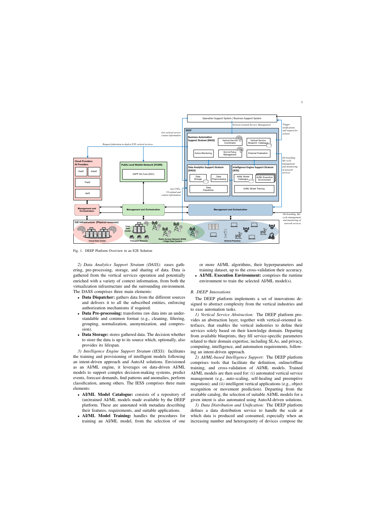

Fig. 1. DEEP Platform Overview in an E2E Solution

*2) Data Analytics Support Stratum (DASS):* eases gathering, pre-processing, storage, and sharing of data. Data is gathered from the vertical services operation and potentially enriched with a variety of context information, from both the virtualization infrastructure and the surrounding environment. The DASS comprises three main elements:

- Data Dispatcher: gathers data from the different sources and delivers it to all the subscribed entities, enforcing authorization mechanisms if required.
- Data Pre-processing: transforms raw data into an understandable and common format (e.g., cleaning, filtering, grouping, normalization, anonymization, and compression).
- Data Storage: stores gathered data. The decision whether to store the data is up to its source which, optionally, also provides its lifespan.

*3) Intelligence Engine Support Stratum (IESS):* facilitates the training and provisioning of intelligent models following an intent-driven approach and AutoAI solutions. Envisioned as an AI/ML engine, it leverages on data-driven AI/ML models to support complex decision-making systems, predict events, forecast demands, find patterns and anomalies, perform classification, among others. The IESS comprises three main elements:

- AI/ML Model Catalogue: consists of a repository of (un)trained AI/ML models made available by the DEEP platform. These are annotated with metadata describing their features, requirements, and suitable applications.
- AI/ML Model Training: handles the procedures for training an AI/ML model, from the selection of one

or more AI/ML algorithms, their hyperparameters and training dataset, up to the cross-validation their accuracy.

• AI/ML Execution Environment: comprises the runtime environment to train the selected AI/ML model(s).

# *B. DEEP Innovations*

The DEEP platform implements a set of innovations designed to abstract complexity from the vertical industries and to ease automation tasks.

*1) Vertical Service Abstraction:* The DEEP platform provides an abstraction layer, together with vertical-oriented interfaces, that enables the vertical industries to define their services solely based on their knowledge domain. Departing from available blueprints, they fill service-specific parameters related to their domain expertise, including SLAs, and privacy, computing, intelligence, and automation requirements, following an intent-driven approach.

*2) AI/ML-based Intelligence Support:* The DEEP platform comprises tools that facilitate the definition, online/offline training, and cross-validation of AI/ML models. Trained AI/ML models are then used for: *(i)* automated vertical service management (e.g., auto-scaling, self-healing and preemptive migration); and *(ii)* intelligent vertical applications (e.g., object recognition or movement prediction). Departing from the available catalog, the selection of suitable AI/ML models for a given intent is also automated using AutoAI-driven solutions.

*3) Data Distribution and Unification:* The DEEP platform defines a data distribution service to handle the scale at which data is produced and consumed, especially when an increasing number and heterogeneity of devices compose the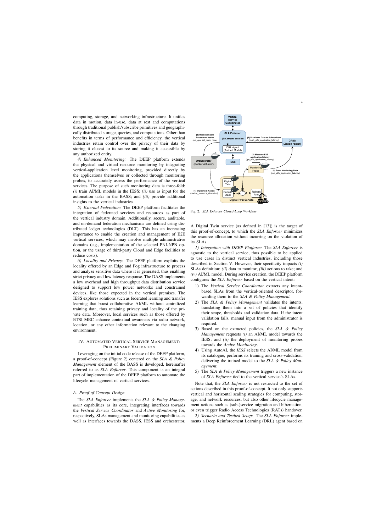computing, storage, and networking infrastructure. It unifies data in motion, data in-use, data at rest and computations through traditional publish/subscribe primitives and geographically distributed storage, queries, and computations. Other than benefits in terms of performance and efficiency, the vertical industries retain control over the privacy of their data by storing it closest to its source and making it accessible by any authorized entity.

*4) Enhanced Monitoring:* The DEEP platform extends the physical and virtual resource monitoring by integrating vertical-application level monitoring, provided directly by the applications themselves or collected through monitoring probes, to accurately assess the performance of the vertical services. The purpose of such monitoring data is three-fold: *(i)* train AI/ML models in the IESS; *(ii)* use as input for the automation tasks in the BASS; and *(iii)* provide additional insights to the vertical industries.

*5) External Federation:* The DEEP platform facilitates the integration of federated services and resources as part of the vertical industry domain. Additionally, secure, auditable, and on-demand federation mechanisms are defined using distributed ledger technologies (DLT). This has an increasing importance to enable the creation and management of E2E vertical services, which may involve multiple administrative domains (e.g., implementation of the selected PNI-NPN option, or the usage of third-party Cloud and Edge facilities to reduce costs).

*6) Locality and Privacy:* The DEEP platform exploits the locality offered by an Edge and Fog infrastructure to process and analyze sensitive data where it is generated, thus enabling strict privacy and low latency response. The DASS implements a low overhead and high throughput data distribution service designed to support low power networks and constrained devices, like those expected in the vertical premises. The IESS explores solutions such as federated learning and transfer learning that boost collaborative AI/ML without centralized training data, thus retaining privacy and locality of the private data. Moreover, local services such as those offered by ETSI MEC enhance contextual awareness via radio network, location, or any other information relevant to the changing environment.

# IV. AUTOMATED VERTICAL SERVICE MANAGEMENT: PRELIMINARY VALIDATION

Leveraging on the initial code release of the DEEP platform, a proof-of-concept (Figure 2) centered on the *SLA & Policy Management* element of the BASS is developed, hereinafter referred to as *SLA Enforcer*. This component is an integral part of implementation of the DEEP platform to automate the lifecycle management of vertical services.

# *A. Proof-of-Concept Design*

The *SLA Enforcer* implements the *SLA & Policy Management* capabilities as its core, integrating interfaces towards the *Vertical Service Coordinator* and *Active Monitoring* for, respectively, SLAs management and monitoring capabilities as well as interfaces towards the DASS, IESS and orchestrator.



Fig. 2. *SLA Enforcer Closed-Loop Workflow*

A Digital Twin service (as defined in [13]) is the target of this proof-of-concept, to which the *SLA Enforcer* minimizes the resource allocation without incurring on the violation of its SLAs.

*1) Integration with DEEP Platform:* The *SLA Enforcer* is agnostic to the vertical service, thus possible to be applied to use cases in distinct vertical industries, including those described in Section V. However, their specificity impacts *(i)* SLAs definition; *(ii)* data to monitor; *(iii)* actions to take; and *(iv)* AI/ML model. During service creation, the DEEP platform configures the *SLA Enforcer* based on the vertical intent:

- 1) The *Vertical Service Coordinator* extracts any intentbased SLAs from the vertical-oriented descriptor, forwarding them to the *SLA & Policy Management.*
- 2) The *SLA & Policy Management* validates the intents, translating them into a set of policies that identify their scope, thresholds and validation data. If the intent validation fails, manual input from the administrator is required.
- 3) Based on the extracted policies, the *SLA & Policy Management* requests *(i)* an AI/ML model towards the IESS; and *(ii)* the deployment of monitoring probes towards the *Active Monitoring*.
- 4) Using AutoAI, the *IESS* selects the AI/ML model from its catalogue, performs its training and cross-validation, delivering the trained model to the *SLA & Policy Management*.
- 5) The *SLA & Policy Management* triggers a new instance of *SLA Enforcer* tied to the vertical service's SLAs.

Note that, the *SLA Enforcer* is not restricted to the set of actions described in this proof-of-concept. It not only supports vertical and horizontal scaling strategies for computing, storage, and network resources, but also other lifecycle management actions such as (sub-)service migration and hibernation, or even trigger Radio Access Technologies (RATs) handover.

*2) Scenario and Testbed Setup:* The *SLA Enforcer* implements a Deep Reinforcement Learning (DRL) agent based on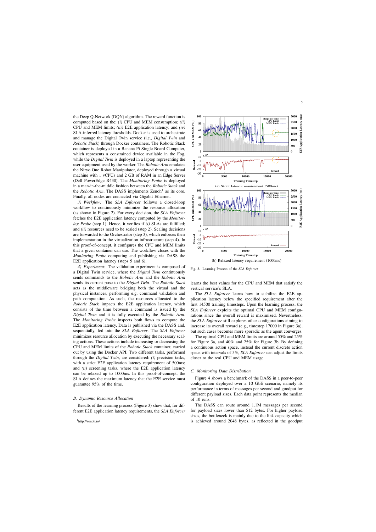the Deep Q-Network (DQN) algorithm. The reward function is computed based on the: *(i)* CPU and MEM consumption; *(ii)* CPU and MEM limits; *(iii)* E2E application latency; and *(iv)* SLA-inferred latency thresholds. Docker is used to orchestrate and manage the Digital Twin service (i.e., *Digital Twin* and *Robotic Stack*) through Docker containers. The Robotic Stack container is deployed in a Banana Pi Single Board Computer, which represents a constrained device available in the Fog, while the *Digital Twin* is deployed in a laptop representing the user equipment used by the worker. The *Robotic Arm* emulates the Niryo One Robot Manipulator, deployed through a virtual machine with 1 vCPUs and 2 GB of RAM in an Edge Server (Dell PowerEdge R430). The *Monitoring Probe* is deployed in a man-in-the-middle fashion between the *Robotic Stack* and the *Robotic Arm*. The DASS implements Zenoh<sup>1</sup> as its core. Finally, all nodes are connected via Gigabit Ethernet.

*3) Workflow:* The *SLA Enforcer* follows a closed-loop workflow to continuously minimize the resource allocation (as shown in Figure 2). For every decision, the *SLA Enforcer* fetches the E2E application latency computed by the *Monitoring Probe* (step 1). Hence, it verifies if *(i)* SLAs are fulfilled; and *(ii)* resources need to be scaled (step 2). Scaling decisions are forwarded to the Orchestrator (step 3), which enforces their implementation in the virtualization infrastructure (step 4). In this proof-of-concept, it configures the CPU and MEM limits that a given container can use. The workflow closes with the *Monitoring Probe* computing and publishing via DASS the E2E application latency (steps 5 and 6).

*4) Experiment:* The validation experiment is composed of a Digital Twin service, where the *Digital Twin* continuously sends commands to the *Robotic Arm* and the *Robotic Arm* sends its current pose to the *Digital Twin*. The *Robotic Stack* acts as the middleware bridging both the virtual and the physical instances, performing e.g. command validation and path computation. As such, the resources allocated to the *Robotic Stack* impacts the E2E application latency, which consists of the time between a command is issued by the *Digital Twin* and it is fully executed by the *Robotic Arm*. The *Monitoring Probe* inspects both flows to compute the E2E application latency. Data is published via the DASS and, sequentially, fed into the *SLA Enforcer*. The *SLA Enforcer* minimizes resource allocation by executing the necessary scaling actions. These actions include increasing or decreasing the CPU and MEM limits of the *Robotic Stack* container, carried out by using the Docker API. Two different tasks, performed through the *Digital Twin*, are considered: *(i)* precision tasks, with a strict E2E application latency requirement of 500ms; and *(ii)* screening tasks, where the E2E application latency can be relaxed up to 1000ms. In this proof-of-concept, the SLA defines the maximum latency that the E2E service must guarantee 95% of the time.

#### *B. Dynamic Resource Allocation*

Results of the learning process (Figure 3) show that, for different E2E application latency requirements, the *SLA Enforcer*



Fig. 3. Learning Process of the *SLA Enforcer*

learns the best values for the CPU and MEM that satisfy the vertical service's SLA.

The *SLA Enforcer* learns how to stabilize the E2E application latency below the specified requirement after the first 14500 training timesteps. Upon the learning process, the *SLA Enforcer* exploits the optimal CPU and MEM configurations since the overall reward is maximized. Nevertheless, the *SLA Enforcer* still explores other configurations aiming to increase its overall reward (e.g., timestep 17000 in Figure 3a), but such cases becomes more sporadic as the agent converges.

The optimal CPU and MEM limits are around 55% and 25% for Figure 3a, and 40% and 25% for Figure 3b. By defining a continuous action space, instead the current discrete action space with intervals of 5%, *SLA Enforcer* can adjust the limits closer to the real CPU and MEM usage.

#### *C. Monitoring Data Distribution*

Figure 4 shows a benchmark of the DASS in a peer-to-peer configuration deployed over a 10 GbE scenario, namely its performance in terms of messages per second and goodput for different payload sizes. Each data point represents the median of 10 runs.

The DASS can route around 1.1M messages per second for payload sizes lower than 512 bytes. For higher payload sizes, the bottleneck is mainly due to the link capacity which is achieved around 2048 bytes, as reflected in the goodput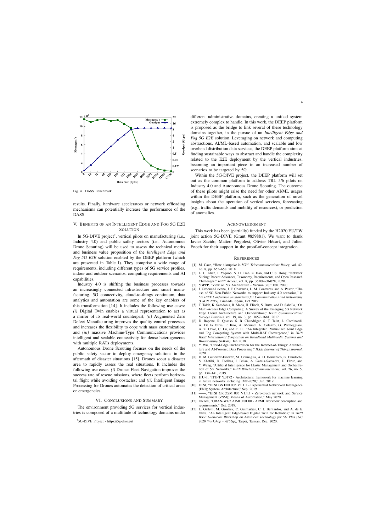

Fig. 4. DASS Benchmark

results. Finally, hardware accelerators or network offloading mechanisms can potentially increase the performance of the DASS.

# V. BENEFITS OF AN INTELLIGENT EDGE AND FOG 5G E2E **SOLUTION**

In 5G-DIVE project<sup>2</sup>, vertical pilots on manufacturing (i.e., Industry 4.0) and public safety sectors (i.e., Autonomous Drone Scouting) will be used to assess the technical merits and business value proposition of the *Intelligent Edge and Fog 5G E2E* solution enabled by the DEEP platform (which are presented in Table I). They comprise a wide range of requirements, including different types of 5G service profiles, indoor and outdoor scenarios, computing requirements and AI capabilities.

Industry 4.0 is shifting the business processes towards an increasingly connected infrastructure and smart manufacturing. 5G connectivity, cloud-to-things continuum, data analytics and automation are some of the key enablers of this transformation [14]. It includes the following use cases: *(i)* Digital Twin enables a virtual representation to act as a mirror of its real-world counterpart; *(ii)* Augmented Zero Defect Manufacturing improves the quality control processes and increases the flexibility to cope with mass customization; and *(iii)* massive Machine-Type Communications provides intelligent and scalable connectivity for dense heterogeneous with multiple RATs deployments.

Autonomous Drone Scouting focuses on the needs of the public safety sector to deploy emergency solutions in the aftermath of disaster situations [15]. Drones scout a disaster area to rapidly assess the real situations. It includes the following use cases: *(i)* Drones Fleet Navigation improves the success rate of rescue missions, where fleets perform horizontal flight while avoiding obstacles; and *(ii)* Intelligent Image Processing for Drones automates the detection of critical areas or emergencies.

# VI. CONCLUSIONS AND SUMMARY

The environment providing 5G services for vertical industries is composed of a multitude of technology domains under different administrative domains, creating a unified system extremely complex to handle. In this work, the DEEP platform is proposed as the bridge to link several of these technology domains together, in the pursue of an *Intelligent Edge and Fog 5G E2E* solution. Leveraging on network and computing abstractions, AI/ML-based automation, and scalable and low overhead distribution data services, the DEEP platform aims at finding sustainable ways to abstract and handle the complexity related to the E2E deployment by the vertical industries, becoming an important piece in an increased number of scenarios to be targeted by 5G.

Within the 5G-DIVE project, the DEEP platform will set out as the common platform to address TRL 5/6 pilots on Industry 4.0 and Autonomous Drone Scouting. The outcome of these pilots might raise the need for other AI/ML usages within the DEEP platform, such as the generation of novel insights about the operation of vertical services, forecasting (e.g., traffic demands and mobility of resources), or prediction of anomalies.

## ACKNOWLEDGMENT

This work has been (partially) funded by the H2020 EU/TW joint action 5G-DIVE (Grant #859881). We want to thank Javier Sacido, Matteo Pergolesi, Olivier Hécart, and Julien Enoch for their support in the proof-of-concept integration.

#### **REFERENCES**

- [1] M. Cave, "How disruptive is 5G?" *Telecommunications Policy*, vol. 42, no. 8, pp. 653–658, 2018.
- [2] L. U. Khan, I. Yaqoob, N. H. Tran, Z. Han, and C. S. Hong, "Network Slicing: Recent Advances, Taxonomy, Requirements, and Open Research Challenges," *IEEE Access*, vol. 8, pp. 36 009–36 028, 2020.
- [3] 5GPPP, "View on 5G Architecture Version 3.0," Feb. 2020.
- [4] J. Ordonez-Lucena, J. F. Chavarria, L. M. Contreras, and A. Pastor, "The use of 5G Non-Public Networks to support Industry 4.0 scenarios," in *5th IEEE Conference on Standards for Communications and Networking (CSCN 2019)*, Granada, Spain, Oct 2019.
- [5] T. Taleb, K. Samdanis, B. Mada, H. Flinck, S. Dutta, and D. Sabella, "On Multi-Access Edge Computing: A Survey of the Emerging 5G Network Edge Cloud Architecture and Orchestration," *IEEE Communications Surveys Tutorials*, vol. 19, no. 3, pp. 1657–1681, 2017.
- [6] D. Rapone, R. Quasso, S. B. Chundrigar, S. T. Talat, L. Cominardi, A. De la Oliva, P. Kuo, A. Mourad, A. Colazzo, G. Parmeggiani, A. Z. Orive, C. Lu, and C. Li, "An Integrated, Virtualized Joint Edge and Fog Computing System with Multi-RAT Convergence," in *2018 IEEE International Symposium on Broadband Multimedia Systems and Broadcasting (BMSB)*, Jun 2018.
- [7] Y. Wu, "Cloud-Edge Orchestration for the Internet-of-Things: Architecture and AI-Powered Data Processing," *IEEE Internet of Things Journal*, 2020.
- [8] D. M. Gutierrez-Estevez, M. Gramaglia, A. D. Domenico, G. Dandachi, S. Khatibi, D. Tsolkas, I. Balan, A. Garcia-Saavedra, U. Elzur, and Y. Wang, "Artificial Intelligence for Elastic Management and Orchestration of 5G Networks," *IEEE Wireless Communications*, vol. 26, no. 5, pp. 134–141, 2019.
- [9] ITU-T, "ITU-T Y.3172 Architectural framework for machine learning in future networks including IMT-2020," Jun. 2019.
- [10] ETSI, "ETSI GS ENI 005 V1.1.1 Experiential Networked Intelligence (ENI); System Architecture," Sep. 2019.
- [11] ——, "ETSI GR ZSM 005 V1.1.1 Zero-touch network and Service Management (ZSM); Means of Automation," May 2020.
- [12] ORAN, "ORAN-WG2.AIML.v01.00 AI/ML workflow description and requirements," Oct. 2019.
- [13] L. Girletti, M. Groshev, C. Guimarães, C. J. Bernardos, and A. de la Oliva, "An Intelligent Edge-based Digital Twin for Robotics," in *2020 IEEE Globecom Workshop on Advanced Technology for 5G Plus (GC 2020 Workshop - AT5Gp)*, Taipei, Taiwan, Dec. 2020.

<sup>2</sup>5G-DIVE Project - https://5g-dive.eu/